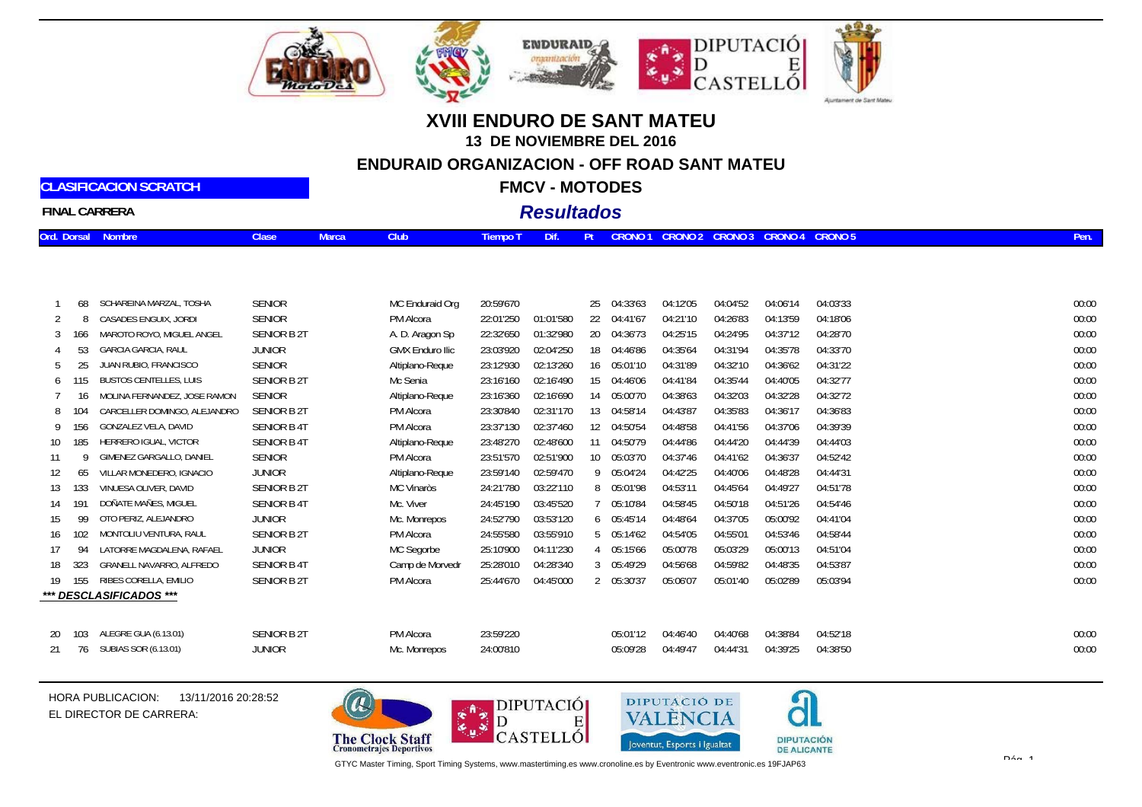





## **XVIII ENDURO DE SANT MATEU13 DE NOVIEMBRE DEL 2016ENDURAID ORGANIZACION - OFF ROAD SANT MATEUFMCV - MOTODES**

# **FINAL CARRERA**

**CLASIFICACION SCRATCH**

### *Resultados*

|  | Ord. Dorsal Nombre<br>Clase J<br>Marca <b>M</b> | Tiempo T Dif. Pt CRONO 1 CRONO 2 CRONO 3 CRONO 4 CRONO 5 1 |
|--|-------------------------------------------------|------------------------------------------------------------|
|--|-------------------------------------------------|------------------------------------------------------------|

|     | 68   | SCHAREINA MARZAL, TOSHA       | <b>SENIOR</b>     | MC Enduraid Org        | 20:59'670 |           |    | 25 04:33'63 | 04:12'05 | 04:04'52 | 04:06'14 | 04:03'33 | 00:00 |
|-----|------|-------------------------------|-------------------|------------------------|-----------|-----------|----|-------------|----------|----------|----------|----------|-------|
|     | 8    | CASADES ENGUIX, JORDI         | <b>SENIOR</b>     | PM Alcora              | 22:01'250 | 01:01'580 | 22 | 04:41'67    | 04:21'10 | 04:26'83 | 04:13'59 | 04:18'06 | 00:00 |
|     | 166. | MAROTO ROYO, MIGUEL ANGEL     | SENIOR B 2T       | A. D. Aragon Sp        | 22:32'650 | 01:32'980 | 20 | 04:36'73    | 04:25'15 | 04:24'95 | 04:37'12 | 04:28'70 | 00:00 |
|     |      | <b>GARCIA GARCIA, RAUL</b>    | <b>JUNIOR</b>     | <b>GMX Enduro Ilic</b> | 23:03'920 | 02:04'250 | 18 | 04:46'86    | 04:35'64 | 04:31'94 | 04:35'78 | 04:33'70 | 00:00 |
| 5   |      | UAN RUBIO, FRANCISCO          | <b>SENIOR</b>     | Altiplano-Reque        | 23:12'930 | 02:13'260 | 16 | 05:01'10    | 04:31'89 | 04:32'10 | 04:36'62 | 04:31'22 | 00:00 |
| 6   | 15   | <b>BUSTOS CENTELLES, LUIS</b> | SENIOR B 2T       | Mc Senia               | 23:16'160 | 02:16'490 | 15 | 04:46'06    | 04:41'84 | 04:35'44 | 04:40'05 | 04:32'77 | 00:00 |
|     | 16.  | MOLINA FERNANDEZ, JOSE RAMON  | <b>SENIOR</b>     | Altiplano-Reque        | 23:16'360 | 02:16'690 | 14 | 05:00'70    | 04:38'63 | 04:32'03 | 04:32'28 | 04:32'72 | 00:00 |
|     |      | CARCELLER DOMINGO, ALEJANDRO  | SENIOR B 2T       | PM Alcora              | 23:30'840 | 02:31'170 | 13 | 04:58'14    | 04:43'87 | 04:35'83 | 04:36'17 | 04:36'83 | 00:00 |
| 9   |      | GONZALEZ VELA, DAVID          | <b>SENIOR B4T</b> | PM Alcora              | 23:37'130 | 02:37'460 | 12 | 04:50'54    | 04:48'58 | 04:41'56 | 04:37'06 | 04:39'39 | 00:00 |
| 10  | 185  | HERRERO IGUAL, VICTOR         | <b>SENIOR B4T</b> | Altiplano-Reque        | 23:48'270 | 02:48'600 | 11 | 04:50'79    | 04:44'86 | 04:44'20 | 04:44'39 | 04:44'03 | 00:00 |
| 11  |      | GIMENEZ GARGALLO, DANIEL      | <b>SENIOR</b>     | PM Alcora              | 23:51'570 | 02:51'900 | 10 | 05:03'70    | 04:37'46 | 04:41'62 | 04:36'37 | 04:52'42 | 00:00 |
|     | 65   | VILLAR MONEDERO, IGNACIO      | <b>JUNIOR</b>     | Altiplano-Reque        | 23:59'140 | 02:59'470 |    | 9 05:04'24  | 04:42'25 | 04:40'06 | 04:48'28 | 04:44'31 | 00:00 |
| 13  | 133  | VINUESA OLIVER, DAVID         | SENIOR B 2T       | MC Vinaròs             | 24:21'780 | 03:22'110 |    | 8 05:01'98  | 04:53'11 | 04:45'64 | 04:49'27 | 04:51'78 | 00:00 |
| 14  |      | DOÑATE MAÑES, MIGUEL          | <b>SENIOR B4T</b> | Mc. Viver              | 24:45'190 | 03:45'520 |    | 05:10'84    | 04:58'45 | 04:50'18 | 04:51'26 | 04:54'46 | 00:00 |
| 15  | 99   | OTO PERIZ, ALEJANDRO          | <b>JUNIOR</b>     | Mc. Monrepos           | 24:52'790 | 03:53'120 |    | 605:45'14   | 04:48'64 | 04:37'05 | 05:00'92 | 04:41'04 | 00:00 |
| 16  | 102  | MONTOLIU VENTURA, RAUL        | SENIOR B 2T       | PM Alcora              | 24:55'580 | 03:55'910 |    | 5 05:14'62  | 04:54'05 | 04:55'01 | 04:53'46 | 04:58'44 | 00:00 |
|     |      | LATORRE MAGDALENA, RAFAEL     | JUNIOR            | MC Segorbe             | 25:10'900 | 04:11'230 | 4  | 05:15'66    | 05:00'78 | 05:03'29 | 05:00'13 | 04:51'04 | 00:00 |
| 18  | 323  | GRANELL NAVARRO, ALFREDO      | <b>SENIOR B4T</b> | Camp de Morvedr        | 25:28'010 | 04:28'340 |    | 3 05:49'29  | 04:56'68 | 04:59'82 | 04:48'35 | 04:53'87 | 00:00 |
| 19. | 155  | RIBES CORELLA, EMILIO         | SENIOR B 2T       | PM Alcora              | 25:44'670 | 04:45'000 |    | 2 05:30'37  | 05:06'07 | 05:01'40 | 05:02'89 | 05:03'94 | 00:00 |
|     |      | *** DESCLASIFICADOS ***       |                   |                        |           |           |    |             |          |          |          |          |       |
|     |      |                               |                   |                        |           |           |    |             |          |          |          |          |       |
|     |      |                               |                   |                        |           |           |    |             |          |          |          |          |       |

| 20 103 ALEGRE GUA (6.13.01) | <b>SENIOR B 2T</b> | PM Alcora    | 23:59'220 |  | 05:01'12  04:46'40  04:40'68  04:38'84  04:52'18 | 00:00 |
|-----------------------------|--------------------|--------------|-----------|--|--------------------------------------------------|-------|
| 21 76 SUBIAS SOR (6.13.01)  | Junior             | Mc. Monrepos | 24:00'810 |  | 05:09'28  04:49'47  04:44'31  04:39'25  04:38'50 | 00:00 |

HORA PUBLICACION: 13/11/2016 20:28:52EL DIRECTOR DE CARRERA:







GTYC Master Timing, Sport Timing Systems, www.mastertiming.es www.cronoline.es by Eventronic www.eventronic.es 19FJAP63